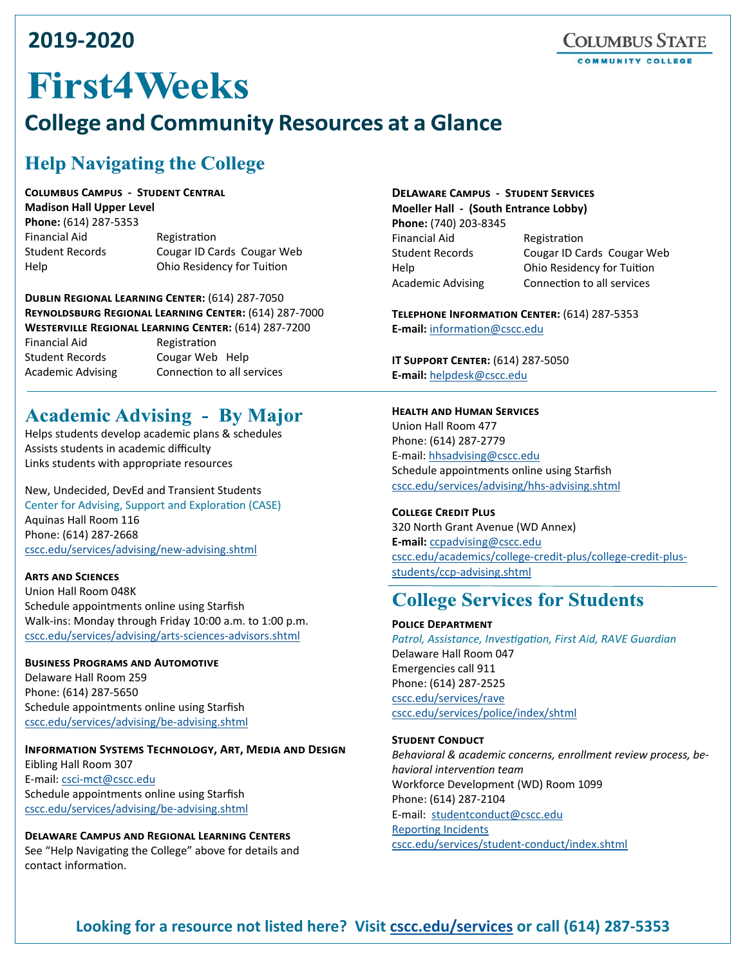# 2019-2020

# **First4Weeks**

# **College and Community Resources at a Glance**

# **Help Navigating the College**

**COLUMBUS CAMPUS - STUDENT CENTRAL Madison Hall Upper Level** 

Phone: (614) 287-5353 **Financial Aid Student Records** Help

Registration Cougar ID Cards Cougar Web Ohio Residency for Tuition

**DUBLIN REGIONAL LEARNING CENTER: (614) 287-7050** REYNOLDSBURG REGIONAL LEARNING CENTER: (614) 287-7000 **WESTERVILLE REGIONAL LEARNING CENTER: (614) 287-7200 Financial Aid** Registration **Student Records** Cougar Web Help **Academic Advising** Connection to all services

# **Academic Advising - By Major**

Helps students develop academic plans & schedules Assists students in academic difficulty Links students with appropriate resources

New, Undecided, DevEd and Transient Students Center for Advising, Support and Exploration (CASE) Aquinas Hall Room 116 Phone: (614) 287-2668 cscc.edu/services/advising/new-advising.shtml

#### **ARTS AND SCIENCES**

Union Hall Room 048K Schedule appointments online using Starfish Walk-ins: Monday through Friday 10:00 a.m. to 1:00 p.m. cscc.edu/services/advising/arts-sciences-advisors.shtml

#### **BUSINESS PROGRAMS AND AUTOMOTIVE** Delaware Hall Room 259 Phone: (614) 287-5650 Schedule appointments online using Starfish cscc.edu/services/advising/be-advising.shtml

#### **INFORMATION SYSTEMS TECHNOLOGY, ART, MEDIA AND DESIGN** Eibling Hall Room 307 E-mail: csci-mct@cscc.edu Schedule appointments online using Starfish cscc.edu/services/advising/be-advising.shtml

**DELAWARE CAMPUS AND REGIONAL LEARNING CENTERS** See "Help Navigating the College" above for details and contact information.

#### **DELAWARE CAMPUS - STUDENT SERVICES** Moeller Hall - (South Entrance Lobby)

Phone: (740) 203-8345 **Financial Aid Student Records** Help **Academic Advising** 

Registration Cougar ID Cards Cougar Web Ohio Residency for Tuition Connection to all services

TELEPHONE INFORMATION CENTER: (614) 287-5353 E-mail: information@cscc.edu

**IT SUPPORT CENTER: (614) 287-5050** E-mail: helpdesk@cscc.edu

#### **HEALTH AND HUMAN SERVICES**

Union Hall Room 477 Phone: (614) 287-2779 E-mail: hhsadvising@cscc.edu Schedule appointments online using Starfish cscc.edu/services/advising/hhs-advising.shtml

#### **COLLEGE CREDIT PLUS**

320 North Grant Avenue (WD Annex) E-mail: ccpadvising@cscc.edu cscc.edu/academics/college-credit-plus/college-credit-plusstudents/ccp-advising.shtml

# **College Services for Students**

#### **POLICE DEPARTMENT**

Patrol, Assistance, Investigation, First Aid, RAVE Guardian Delaware Hall Room 047 Emergencies call 911 Phone: (614) 287-2525 cscc.edu/services/rave cscc.edu/services/police/index/shtml

#### **STUDENT CONDUCT**

Behavioral & academic concerns, enrollment review process, behavioral intervention team Workforce Development (WD) Room 1099 Phone: (614) 287-2104 E-mail: studentconduct@cscc.edu **Reporting Incidents** cscc.edu/services/student-conduct/index.shtml

### Looking for a resource not listed here? Visit cscc.edu/services or call (614) 287-5353